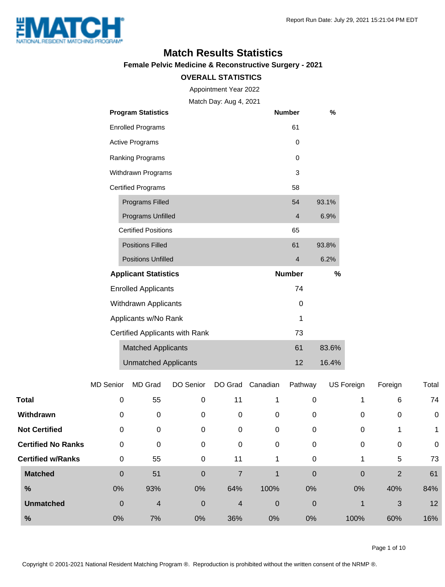

## **Match Results Statistics**

**Female Pelvic Medicine & Reconstructive Surgery - 2021**

#### **OVERALL STATISTICS**

Appointment Year 2022

Match Day: Aug 4, 2021

|                          | <b>Program Statistics</b>      | <b>Number</b>  | %     |
|--------------------------|--------------------------------|----------------|-------|
| <b>Enrolled Programs</b> |                                | 61             |       |
|                          | <b>Active Programs</b>         | 0              |       |
|                          | Ranking Programs               | $\Omega$       |       |
|                          | Withdrawn Programs             | 3              |       |
|                          | <b>Certified Programs</b>      | 58             |       |
|                          | <b>Programs Filled</b>         | 54             | 93.1% |
|                          | <b>Programs Unfilled</b>       | $\overline{4}$ | 6.9%  |
|                          | <b>Certified Positions</b>     | 65             |       |
|                          | <b>Positions Filled</b>        | 61             | 93.8% |
|                          | <b>Positions Unfilled</b>      | $\overline{4}$ | 6.2%  |
|                          | <b>Applicant Statistics</b>    | <b>Number</b>  | %     |
|                          | <b>Enrolled Applicants</b>     | 74             |       |
| Withdrawn Applicants     |                                | 0              |       |
| Applicants w/No Rank     |                                | 1              |       |
|                          | Certified Applicants with Rank | 73             |       |
|                          | <b>Matched Applicants</b>      | 61             | 83.6% |
|                          | <b>Unmatched Applicants</b>    | 12             | 16.4% |

|                           | <b>MD Senior</b> | MD Grad | DO Senior   | DO Grad        | Canadian    | Pathway     | US Foreign | Foreign        | Total       |
|---------------------------|------------------|---------|-------------|----------------|-------------|-------------|------------|----------------|-------------|
| <b>Total</b>              | $\mathbf 0$      | 55      | $\mathbf 0$ | 11             | 1           | 0           |            | 6              | 74          |
| Withdrawn                 | 0                | 0       | 0           | 0              | 0           | 0           | 0          | 0              | $\mathbf 0$ |
| <b>Not Certified</b>      | 0                | 0       | 0           | 0              | $\mathbf 0$ | 0           | 0          |                | 1           |
| <b>Certified No Ranks</b> | $\mathbf 0$      | 0       | 0           | 0              | 0           | 0           | 0          | 0              | 0           |
| <b>Certified w/Ranks</b>  | 0                | 55      | 0           | 11             | 1           | $\mathbf 0$ |            | 5              | 73          |
| <b>Matched</b>            | $\mathbf 0$      | 51      | $\mathbf 0$ | 7              | 1           | $\mathbf 0$ | 0          | $\overline{2}$ | 61          |
| %                         | 0%               | 93%     | 0%          | 64%            | 100%        | 0%          | 0%         | 40%            | 84%         |
| <b>Unmatched</b>          | $\boldsymbol{0}$ | 4       | $\mathbf 0$ | $\overline{4}$ | 0           | 0           |            | 3              | 12          |
| $\%$                      | 0%               | 7%      | 0%          | 36%            | 0%          | 0%          | 100%       | 60%            | 16%         |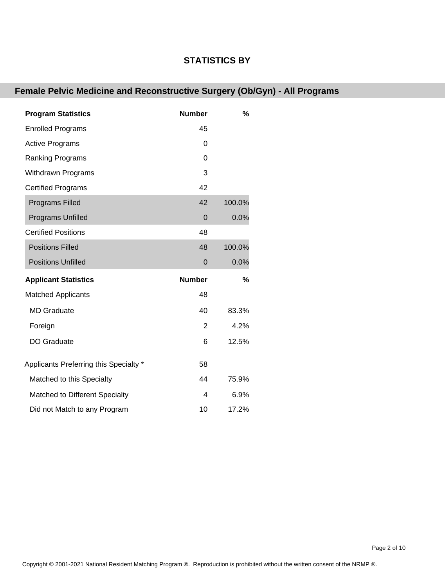#### **STATISTICS BY**

### **Female Pelvic Medicine and Reconstructive Surgery (Ob/Gyn) - All Programs**

| <b>Program Statistics</b>              | <b>Number</b> | %             |
|----------------------------------------|---------------|---------------|
| <b>Enrolled Programs</b>               | 45            |               |
| <b>Active Programs</b>                 | 0             |               |
| <b>Ranking Programs</b>                | $\Omega$      |               |
| <b>Withdrawn Programs</b>              | 3             |               |
| <b>Certified Programs</b>              | 42            |               |
| <b>Programs Filled</b>                 | 42            | 100.0%        |
| <b>Programs Unfilled</b>               | $\mathbf 0$   | 0.0%          |
| <b>Certified Positions</b>             | 48            |               |
| <b>Positions Filled</b>                | 48            | 100.0%        |
| <b>Positions Unfilled</b>              | $\Omega$      | 0.0%          |
| <b>Applicant Statistics</b>            | <b>Number</b> | $\frac{9}{6}$ |
| <b>Matched Applicants</b>              | 48            |               |
| <b>MD</b> Graduate                     | 40            | 83.3%         |
| Foreign                                | 2             | 4.2%          |
| DO Graduate                            | 6             | 12.5%         |
| Applicants Preferring this Specialty * | 58            |               |
| Matched to this Specialty              | 44            | 75.9%         |
| Matched to Different Specialty         | 4             | 6.9%          |
| Did not Match to any Program           | 10            | 17.2%         |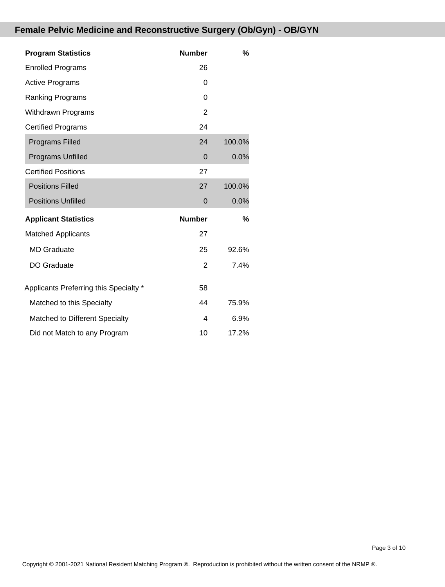### **Female Pelvic Medicine and Reconstructive Surgery (Ob/Gyn) - OB/GYN**

| <b>Program Statistics</b>              | <b>Number</b>  | %      |
|----------------------------------------|----------------|--------|
| <b>Enrolled Programs</b>               | 26             |        |
| <b>Active Programs</b>                 | 0              |        |
| <b>Ranking Programs</b>                | 0              |        |
| Withdrawn Programs                     | $\overline{2}$ |        |
| <b>Certified Programs</b>              | 24             |        |
| <b>Programs Filled</b>                 | 24             | 100.0% |
| <b>Programs Unfilled</b>               | $\Omega$       | 0.0%   |
| <b>Certified Positions</b>             | 27             |        |
| <b>Positions Filled</b>                | 27             | 100.0% |
| <b>Positions Unfilled</b>              | $\mathbf 0$    | 0.0%   |
| <b>Applicant Statistics</b>            | <b>Number</b>  | %      |
| <b>Matched Applicants</b>              | 27             |        |
| <b>MD Graduate</b>                     | 25             | 92.6%  |
| <b>DO Graduate</b>                     | 2              | 7.4%   |
| Applicants Preferring this Specialty * | 58             |        |
| Matched to this Specialty              | 44             | 75.9%  |
| Matched to Different Specialty         | 4              | 6.9%   |
| Did not Match to any Program           | 10             | 17.2%  |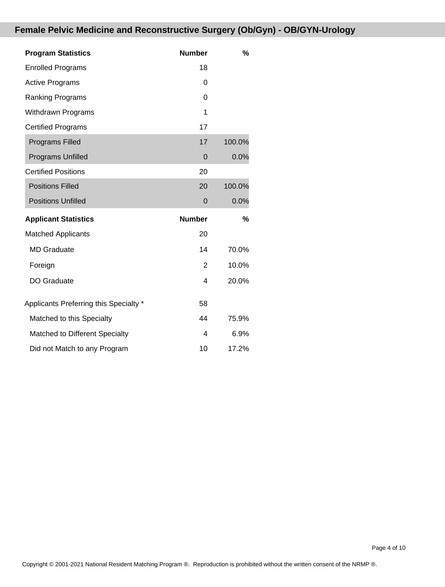### **Female Pelvic Medicine and Reconstructive Surgery (Ob/Gyn) - OB/GYN-Urology**

| <b>Program Statistics</b>              | <b>Number</b> | %      |
|----------------------------------------|---------------|--------|
| <b>Enrolled Programs</b>               | 18            |        |
| <b>Active Programs</b>                 | 0             |        |
| <b>Ranking Programs</b>                | 0             |        |
| <b>Withdrawn Programs</b>              | 1             |        |
| <b>Certified Programs</b>              | 17            |        |
| <b>Programs Filled</b>                 | 17            | 100.0% |
| Programs Unfilled                      | 0             | 0.0%   |
| <b>Certified Positions</b>             | 20            |        |
| <b>Positions Filled</b>                | 20            | 100.0% |
| <b>Positions Unfilled</b>              | 0             | 0.0%   |
| <b>Applicant Statistics</b>            | <b>Number</b> | %      |
| <b>Matched Applicants</b>              | 20            |        |
| <b>MD</b> Graduate                     | 14            | 70.0%  |
| Foreign                                | 2             | 10.0%  |
| <b>DO Graduate</b>                     | 4             | 20.0%  |
| Applicants Preferring this Specialty * | 58            |        |
| Matched to this Specialty              | 44            | 75.9%  |
|                                        |               |        |
| Matched to Different Specialty         | 4             | 6.9%   |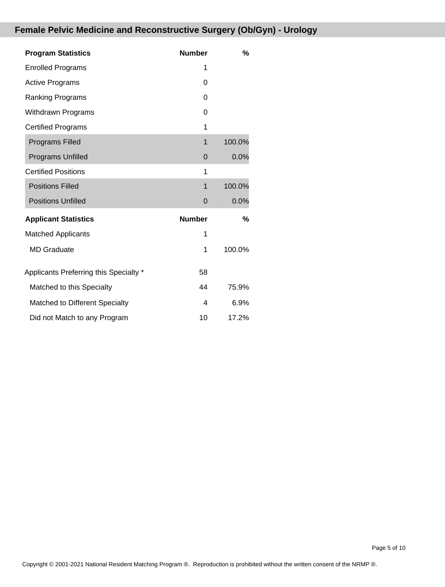### **Female Pelvic Medicine and Reconstructive Surgery (Ob/Gyn) - Urology**

| <b>Program Statistics</b>              | <b>Number</b> | %      |
|----------------------------------------|---------------|--------|
| <b>Enrolled Programs</b>               | 1             |        |
| <b>Active Programs</b>                 | 0             |        |
| <b>Ranking Programs</b>                | 0             |        |
| <b>Withdrawn Programs</b>              | 0             |        |
| <b>Certified Programs</b>              | 1             |        |
| <b>Programs Filled</b>                 | $\mathbf 1$   | 100.0% |
| Programs Unfilled                      | 0             | 0.0%   |
| <b>Certified Positions</b>             | 1             |        |
| <b>Positions Filled</b>                | $\mathbf 1$   | 100.0% |
| <b>Positions Unfilled</b>              | $\Omega$      | 0.0%   |
| <b>Applicant Statistics</b>            | <b>Number</b> | %      |
| <b>Matched Applicants</b>              | 1             |        |
| <b>MD</b> Graduate                     | 1             | 100.0% |
| Applicants Preferring this Specialty * | 58            |        |
| Matched to this Specialty              | 44            | 75.9%  |
| Matched to Different Specialty         | 4             | 6.9%   |
| Did not Match to any Program           | 10            | 17.2%  |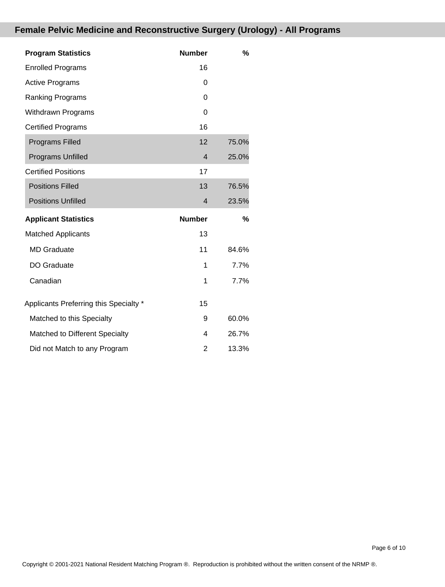# **Female Pelvic Medicine and Reconstructive Surgery (Urology) - All Programs**

| <b>Program Statistics</b>              | <b>Number</b>  | $\%$  |
|----------------------------------------|----------------|-------|
| <b>Enrolled Programs</b>               | 16             |       |
| <b>Active Programs</b>                 | 0              |       |
| <b>Ranking Programs</b>                | 0              |       |
| <b>Withdrawn Programs</b>              | 0              |       |
| <b>Certified Programs</b>              | 16             |       |
| <b>Programs Filled</b>                 | 12             | 75.0% |
| Programs Unfilled                      | $\overline{4}$ | 25.0% |
| <b>Certified Positions</b>             | 17             |       |
| <b>Positions Filled</b>                | 13             | 76.5% |
| <b>Positions Unfilled</b>              | 4              | 23.5% |
| <b>Applicant Statistics</b>            | <b>Number</b>  | %     |
| <b>Matched Applicants</b>              | 13             |       |
| <b>MD</b> Graduate                     | 11             | 84.6% |
| DO Graduate                            | 1              | 7.7%  |
| Canadian                               | 1              | 7.7%  |
| Applicants Preferring this Specialty * | 15             |       |
| Matched to this Specialty              | 9              | 60.0% |
| Matched to Different Specialty         | 4              | 26.7% |
| Did not Match to any Program           | 2              | 13.3% |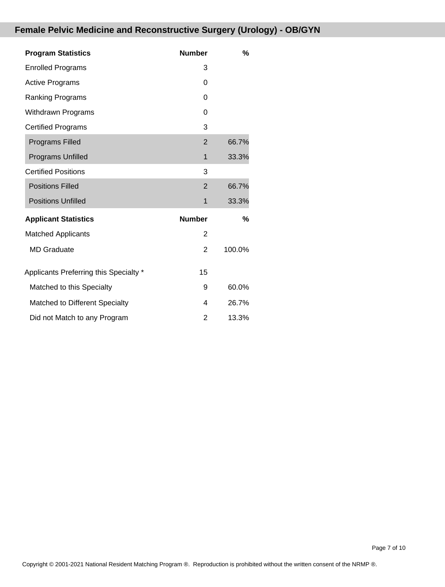# **Female Pelvic Medicine and Reconstructive Surgery (Urology) - OB/GYN**

| <b>Program Statistics</b>              | <b>Number</b>  | %      |
|----------------------------------------|----------------|--------|
| <b>Enrolled Programs</b>               | 3              |        |
| <b>Active Programs</b>                 | 0              |        |
| <b>Ranking Programs</b>                | 0              |        |
| <b>Withdrawn Programs</b>              | 0              |        |
| <b>Certified Programs</b>              | 3              |        |
| <b>Programs Filled</b>                 | $\overline{2}$ | 66.7%  |
| Programs Unfilled                      | 1              | 33.3%  |
| <b>Certified Positions</b>             | 3              |        |
| <b>Positions Filled</b>                | $\overline{2}$ | 66.7%  |
| <b>Positions Unfilled</b>              | 1              | 33.3%  |
| <b>Applicant Statistics</b>            | <b>Number</b>  | %      |
| <b>Matched Applicants</b>              | $\overline{2}$ |        |
| <b>MD</b> Graduate                     | $\overline{2}$ | 100.0% |
| Applicants Preferring this Specialty * | 15             |        |
| Matched to this Specialty              | 9              | 60.0%  |
| Matched to Different Specialty         | 4              | 26.7%  |
| Did not Match to any Program           | 2              | 13.3%  |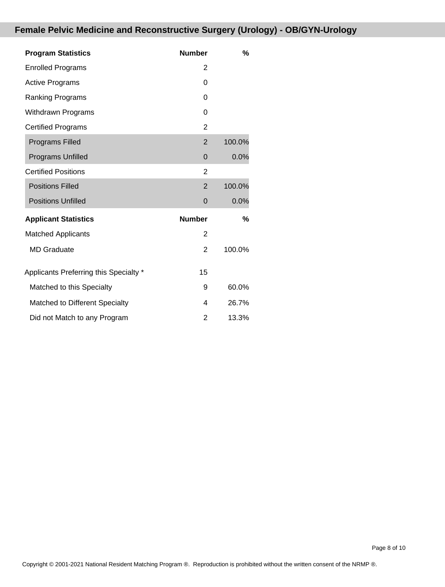# **Female Pelvic Medicine and Reconstructive Surgery (Urology) - OB/GYN-Urology**

| <b>Program Statistics</b>              | <b>Number</b>  | %      |
|----------------------------------------|----------------|--------|
| <b>Enrolled Programs</b>               | 2              |        |
| <b>Active Programs</b>                 | 0              |        |
| Ranking Programs                       | 0              |        |
| <b>Withdrawn Programs</b>              | 0              |        |
| <b>Certified Programs</b>              | $\overline{2}$ |        |
| <b>Programs Filled</b>                 | $\overline{2}$ | 100.0% |
| <b>Programs Unfilled</b>               | $\mathbf 0$    | 0.0%   |
| <b>Certified Positions</b>             | $\overline{2}$ |        |
| <b>Positions Filled</b>                | $\overline{2}$ | 100.0% |
| <b>Positions Unfilled</b>              | $\overline{0}$ | 0.0%   |
| <b>Applicant Statistics</b>            | <b>Number</b>  | %      |
| <b>Matched Applicants</b>              | $\overline{2}$ |        |
| <b>MD</b> Graduate                     | 2              | 100.0% |
| Applicants Preferring this Specialty * | 15             |        |
| Matched to this Specialty              | 9              | 60.0%  |
| Matched to Different Specialty         | 4              | 26.7%  |
| Did not Match to any Program           | 2              | 13.3%  |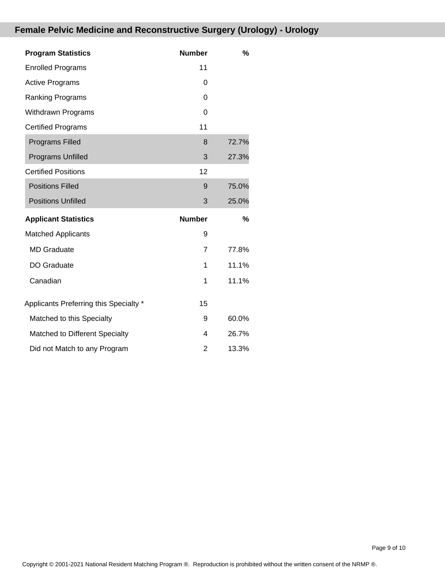# **Female Pelvic Medicine and Reconstructive Surgery (Urology) - Urology**

| <b>Program Statistics</b>              | <b>Number</b>  | %     |
|----------------------------------------|----------------|-------|
| <b>Enrolled Programs</b>               | 11             |       |
| <b>Active Programs</b>                 | 0              |       |
| <b>Ranking Programs</b>                | $\Omega$       |       |
| <b>Withdrawn Programs</b>              | 0              |       |
| <b>Certified Programs</b>              | 11             |       |
| <b>Programs Filled</b>                 | 8              | 72.7% |
| <b>Programs Unfilled</b>               | 3              | 27.3% |
| <b>Certified Positions</b>             | 12             |       |
| <b>Positions Filled</b>                | 9              | 75.0% |
| <b>Positions Unfilled</b>              | 3              | 25.0% |
| <b>Applicant Statistics</b>            | <b>Number</b>  | %     |
| <b>Matched Applicants</b>              | 9              |       |
| <b>MD</b> Graduate                     | $\overline{7}$ | 77.8% |
| <b>DO Graduate</b>                     | 1              | 11.1% |
| Canadian                               | 1              | 11.1% |
| Applicants Preferring this Specialty * | 15             |       |
| Matched to this Specialty              | 9              | 60.0% |
| Matched to Different Specialty         | 4              | 26.7% |
| Did not Match to any Program           | 2              | 13.3% |